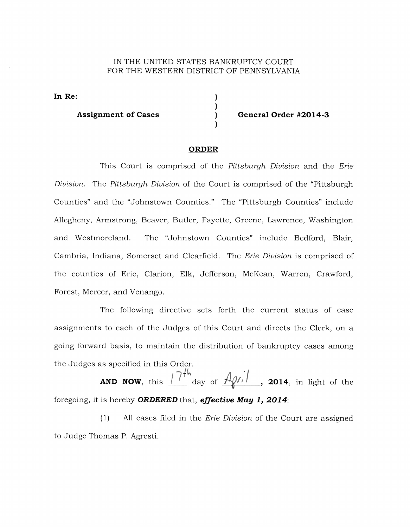## IN THE UNITED STATES BANKRUPTCY COURT FOR THE WESTERN DISTRICT OF PENNSYLVANIA

**In Re:** 

**Assignment of Cases General Order #2014-3** 

## **ORDER**

This Court is comprised of the Pittsburgh Division and the Erie Division. The Pittsburgh Division of the Court is comprised of the "Pittsburgh Counties" and the "Johnstown Counties." The "Pittsburgh Counties" include Allegheny, Armstrong, Beaver, Butler, Fayette, Greene, Lawrence, Washington and Westmoreland. The "Johnstown Counties" include Bedford, Blair, Cambria, Indiana, Somerset and Clearfield. The Erie Division is comprised of the counties of Erie, Clarion, Elk, Jefferson, McKean, Warren, Crawford, Forest, Mercer, and Venango.

The following directive sets forth the current status of case assignments to each of the Judges of this Court and directs the Clerk, on a going forward basis, to maintain the distribution of bankruptcy cases among the Judges as specified in this Order.

**AND NOW**, this  $\frac{1}{\sqrt{7}}$  day of  $\frac{4}{\sqrt{7}}$ , **2014**, in light of the foregoing, it is hereby **ORDERED** that, *effective* **May 1, 2014:** 

 $(1)$  All cases filed in the *Erie Division* of the Court are assigned to Judge Thomas P. Agresti.